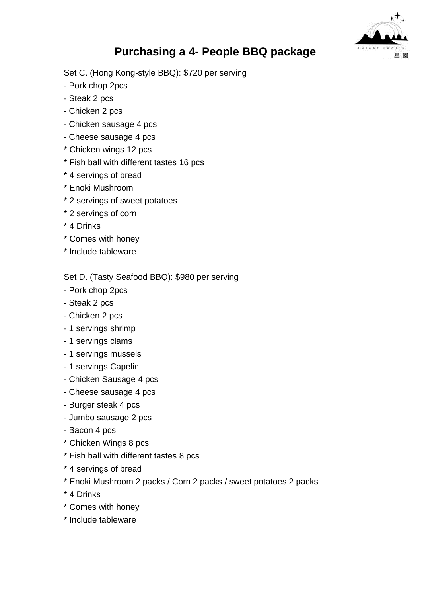

## **Purchasing a 4- People BBQ package**

Set C. (Hong Kong-style BBQ): \$720 per serving

- Pork chop 2pcs
- Steak 2 pcs
- Chicken 2 pcs
- Chicken sausage 4 pcs
- Cheese sausage 4 pcs
- \* Chicken wings 12 pcs
- \* Fish ball with different tastes 16 pcs
- \* 4 servings of bread
- \* Enoki Mushroom
- \* 2 servings of sweet potatoes
- \* 2 servings of corn
- \* 4 Drinks
- \* Comes with honey
- \* Include tableware

Set D. (Tasty Seafood BBQ): \$980 per serving

- Pork chop 2pcs
- Steak 2 pcs
- Chicken 2 pcs
- 1 servings shrimp
- 1 servings clams
- 1 servings mussels
- 1 servings Capelin
- Chicken Sausage 4 pcs
- Cheese sausage 4 pcs
- Burger steak 4 pcs
- Jumbo sausage 2 pcs
- Bacon 4 pcs
- \* Chicken Wings 8 pcs
- \* Fish ball with different tastes 8 pcs
- \* 4 servings of bread
- \* Enoki Mushroom 2 packs / Corn 2 packs / sweet potatoes 2 packs
- \* 4 Drinks
- \* Comes with honey
- \* Include tableware